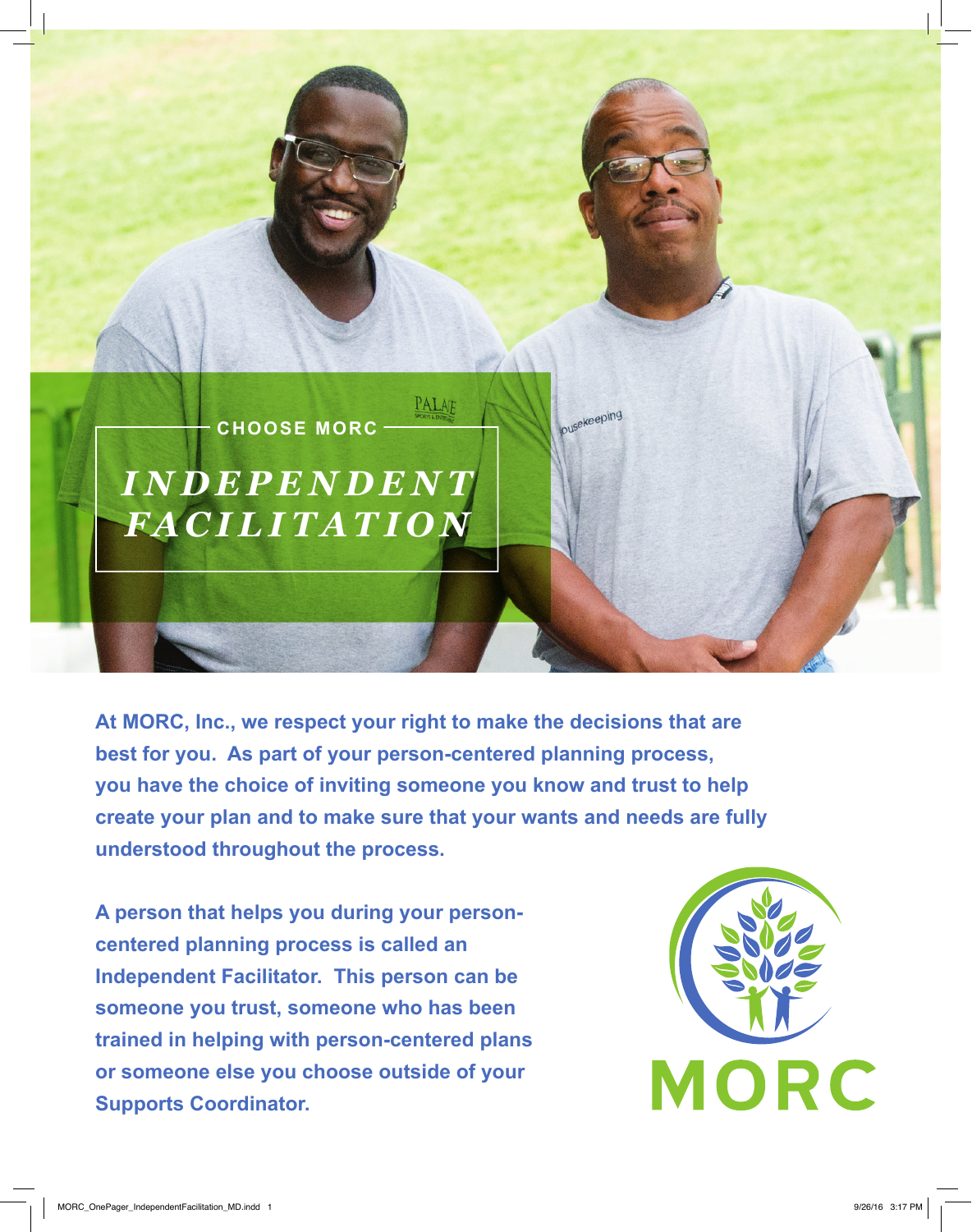

**At MORC, Inc., we respect your right to make the decisions that are best for you. As part of your person-centered planning process, you have the choice of inviting someone you know and trust to help create your plan and to make sure that your wants and needs are fully understood throughout the process.**

**A person that helps you during your personcentered planning process is called an Independent Facilitator. This person can be someone you trust, someone who has been trained in helping with person-centered plans or someone else you choose outside of your Supports Coordinator.**